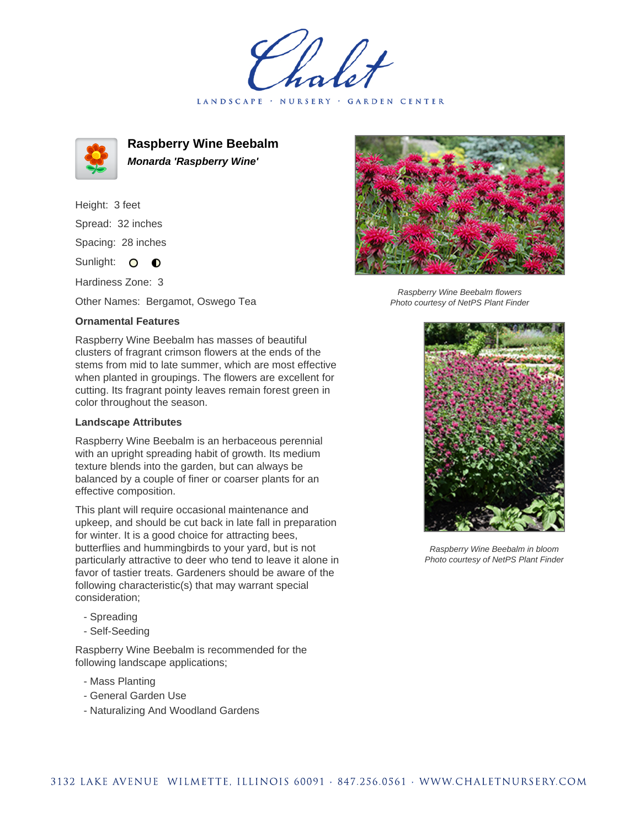holet LANDSCAPE · NURSERY · GARDEN CENTER



**Raspberry Wine Beebalm Monarda 'Raspberry Wine'**

Height: 3 feet Spread: 32 inches Spacing: 28 inches

Sunlight: O **O** 

Hardiness Zone: 3

Other Names: Bergamot, Oswego Tea

## **Ornamental Features**

Raspberry Wine Beebalm has masses of beautiful clusters of fragrant crimson flowers at the ends of the stems from mid to late summer, which are most effective when planted in groupings. The flowers are excellent for cutting. Its fragrant pointy leaves remain forest green in color throughout the season.

## **Landscape Attributes**

Raspberry Wine Beebalm is an herbaceous perennial with an upright spreading habit of growth. Its medium texture blends into the garden, but can always be balanced by a couple of finer or coarser plants for an effective composition.

This plant will require occasional maintenance and upkeep, and should be cut back in late fall in preparation for winter. It is a good choice for attracting bees, butterflies and hummingbirds to your yard, but is not particularly attractive to deer who tend to leave it alone in favor of tastier treats. Gardeners should be aware of the following characteristic(s) that may warrant special consideration;

- Spreading
- Self-Seeding

Raspberry Wine Beebalm is recommended for the following landscape applications;

- Mass Planting
- General Garden Use
- Naturalizing And Woodland Gardens



Raspberry Wine Beebalm flowers Photo courtesy of NetPS Plant Finder



Raspberry Wine Beebalm in bloom Photo courtesy of NetPS Plant Finder